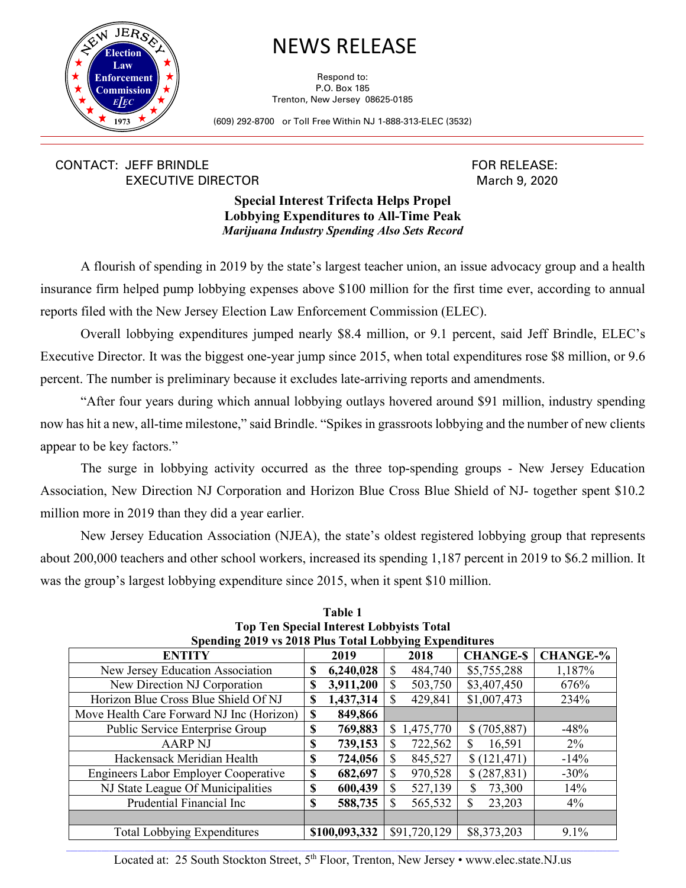

## NEWS RELEASE

Respond to: P.O. Box 185 Trenton, New Jersey 08625-0185

(609) 292-8700 or Toll Free Within NJ 1-888-313-ELEC (3532)

## CONTACT: JEFF BRINDLE EXECUTIVE DIRECTOR

FOR RELEASE: March 9, 2020

## **Special Interest Trifecta Helps Propel Lobbying Expenditures to All-Time Peak** *Marijuana Industry Spending Also Sets Record*

A flourish of spending in 2019 by the state's largest teacher union, an issue advocacy group and a health insurance firm helped pump lobbying expenses above \$100 million for the first time ever, according to annual reports filed with the New Jersey Election Law Enforcement Commission (ELEC).

Overall lobbying expenditures jumped nearly \$8.4 million, or 9.1 percent, said Jeff Brindle, ELEC's Executive Director. It was the biggest one-year jump since 2015, when total expenditures rose \$8 million, or 9.6 percent. The number is preliminary because it excludes late-arriving reports and amendments.

"After four years during which annual lobbying outlays hovered around \$91 million, industry spending now has hit a new, all-time milestone," said Brindle. "Spikes in grassroots lobbying and the number of new clients appear to be key factors."

The surge in lobbying activity occurred as the three top-spending groups - New Jersey Education Association, New Direction NJ Corporation and Horizon Blue Cross Blue Shield of NJ- together spent \$10.2 million more in 2019 than they did a year earlier.

New Jersey Education Association (NJEA), the state's oldest registered lobbying group that represents about 200,000 teachers and other school workers, increased its spending 1,187 percent in 2019 to \$6.2 million. It was the group's largest lobbying expenditure since 2015, when it spent \$10 million.

| Top Ten opeelal Interest Lobby hots Total              |               |               |               |              |                 |                 |
|--------------------------------------------------------|---------------|---------------|---------------|--------------|-----------------|-----------------|
| Spending 2019 vs 2018 Plus Total Lobbying Expenditures |               |               |               |              |                 |                 |
| <b>ENTITY</b>                                          |               | 2019          |               | 2018         | <b>CHANGE-S</b> | <b>CHANGE-%</b> |
| New Jersey Education Association                       | S             | 6,240,028     | <sup>\$</sup> | 484,740      | \$5,755,288     | 1,187%          |
| New Direction NJ Corporation                           |               | 3,911,200     | S             | 503,750      | \$3,407,450     | 676%            |
| Horizon Blue Cross Blue Shield Of NJ                   | \$            | 1,437,314     | <sup>\$</sup> | 429,841      | \$1,007,473     | 234%            |
| Move Health Care Forward NJ Inc (Horizon)              | <sup>\$</sup> | 849,866       |               |              |                 |                 |
| Public Service Enterprise Group                        | \$            | 769,883       | S.            | 1,475,770    | \$(705,887)     | $-48%$          |
| <b>AARP NJ</b>                                         | \$            | 739,153       | \$            | 722,562      | 16,591<br>\$.   | $2\%$           |
| Hackensack Meridian Health                             | \$            | 724,056       | S             | 845,527      | \$(121, 471)    | $-14%$          |
| <b>Engineers Labor Employer Cooperative</b>            | \$            | 682,697       | \$            | 970,528      | \$(287, 831)    | $-30%$          |
| NJ State League Of Municipalities                      | \$            | 600,439       | S             | 527,139      | 73,300          | 14%             |
| Prudential Financial Inc                               | \$            | 588,735       | S             | 565,532      | S<br>23,203     | 4%              |
|                                                        |               |               |               |              |                 |                 |
| <b>Total Lobbying Expenditures</b>                     |               | \$100,093,332 |               | \$91,720,129 | \$8,373,203     | $9.1\%$         |
|                                                        |               |               |               |              |                 |                 |

**Table 1 Top Ten Special Interest Lobbyists Total** 

\_\_\_\_\_\_\_\_\_\_\_\_\_\_\_\_\_\_\_\_\_\_\_\_\_\_\_\_\_\_\_\_\_\_\_\_\_\_\_\_\_\_\_\_\_\_\_\_\_\_\_\_\_\_\_\_\_\_\_\_\_\_\_\_\_\_\_\_\_\_\_\_\_\_\_\_\_\_\_\_\_\_\_\_\_\_\_\_\_\_\_\_\_\_\_\_\_\_\_\_\_\_\_\_\_\_\_\_\_\_\_\_\_\_\_\_\_\_\_\_\_\_\_\_\_\_\_\_\_\_\_\_\_\_\_\_\_\_\_\_\_ Located at: 25 South Stockton Street, 5<sup>th</sup> Floor, Trenton, New Jersey • www.elec.state.NJ.us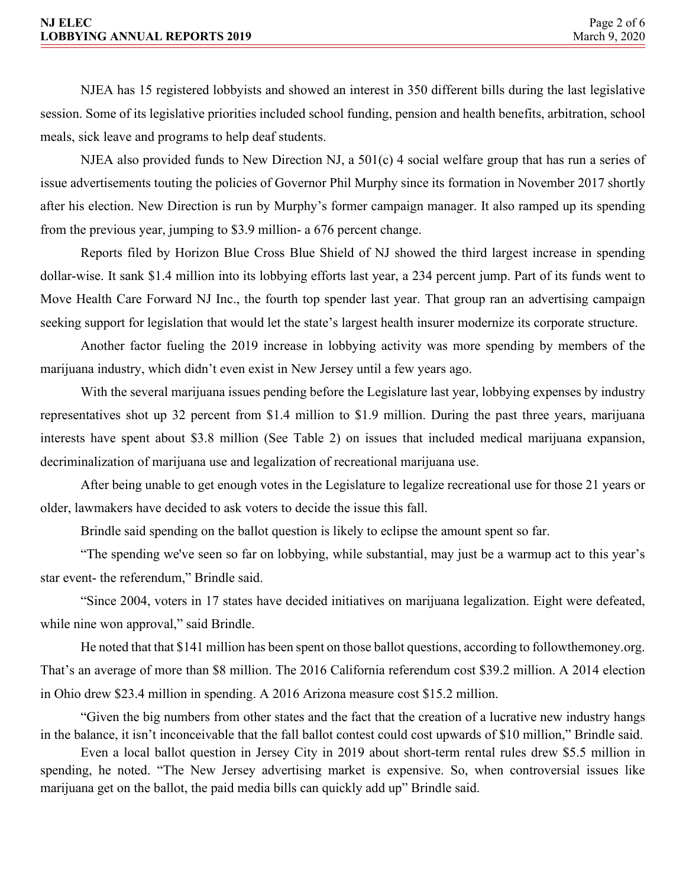NJEA has 15 registered lobbyists and showed an interest in 350 different bills during the last legislative session. Some of its legislative priorities included school funding, pension and health benefits, arbitration, school meals, sick leave and programs to help deaf students.

NJEA also provided funds to New Direction NJ, a 501(c) 4 social welfare group that has run a series of issue advertisements touting the policies of Governor Phil Murphy since its formation in November 2017 shortly after his election. New Direction is run by Murphy's former campaign manager. It also ramped up its spending from the previous year, jumping to \$3.9 million- a 676 percent change.

Reports filed by Horizon Blue Cross Blue Shield of NJ showed the third largest increase in spending dollar-wise. It sank \$1.4 million into its lobbying efforts last year, a 234 percent jump. Part of its funds went to Move Health Care Forward NJ Inc., the fourth top spender last year. That group ran an advertising campaign seeking support for legislation that would let the state's largest health insurer modernize its corporate structure.

Another factor fueling the 2019 increase in lobbying activity was more spending by members of the marijuana industry, which didn't even exist in New Jersey until a few years ago.

With the several marijuana issues pending before the Legislature last year, lobbying expenses by industry representatives shot up 32 percent from \$1.4 million to \$1.9 million. During the past three years, marijuana interests have spent about \$3.8 million (See Table 2) on issues that included medical marijuana expansion, decriminalization of marijuana use and legalization of recreational marijuana use.

After being unable to get enough votes in the Legislature to legalize recreational use for those 21 years or older, lawmakers have decided to ask voters to decide the issue this fall.

Brindle said spending on the ballot question is likely to eclipse the amount spent so far.

"The spending we've seen so far on lobbying, while substantial, may just be a warmup act to this year's star event- the referendum," Brindle said.

"Since 2004, voters in 17 states have decided initiatives on marijuana legalization. Eight were defeated, while nine won approval," said Brindle.

He noted that that \$141 million has been spent on those ballot questions, according to followthemoney.org. That's an average of more than \$8 million. The 2016 California referendum cost \$39.2 million. A 2014 election in Ohio drew \$23.4 million in spending. A 2016 Arizona measure cost \$15.2 million.

"Given the big numbers from other states and the fact that the creation of a lucrative new industry hangs in the balance, it isn't inconceivable that the fall ballot contest could cost upwards of \$10 million," Brindle said.

Even a local ballot question in Jersey City in 2019 about short-term rental rules drew \$5.5 million in spending, he noted. "The New Jersey advertising market is expensive. So, when controversial issues like marijuana get on the ballot, the paid media bills can quickly add up" Brindle said.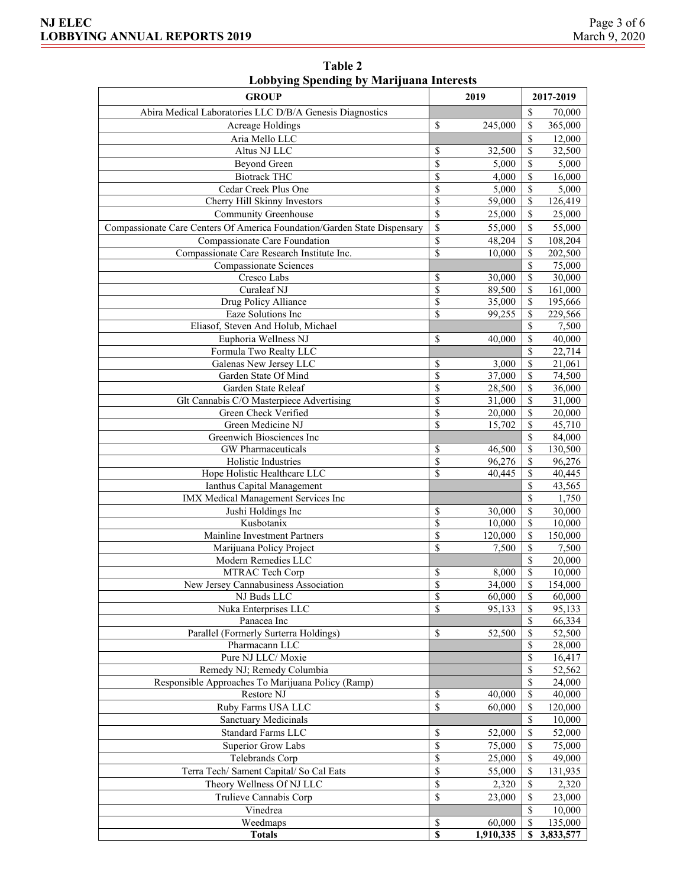| порозніх эренаніх бу ічандама писі свіз<br><b>GROUP</b>                  |               | 2019               |                           | 2017-2019 |
|--------------------------------------------------------------------------|---------------|--------------------|---------------------------|-----------|
|                                                                          |               |                    |                           |           |
| Abira Medical Laboratories LLC D/B/A Genesis Diagnostics                 |               |                    | $\mathcal{S}$             | 70,000    |
| Acreage Holdings                                                         | <sup>\$</sup> | 245,000            | $\mathcal{S}$             | 365,000   |
| Aria Mello LLC                                                           |               |                    | \$                        | 12,000    |
| Altus NJ LLC                                                             | \$            | 32,500             | \$                        | 32,500    |
| <b>Beyond Green</b>                                                      | \$            | 5,000              | \$                        | 5,000     |
| <b>Biotrack THC</b>                                                      | \$            | 4,000              | \$                        | 16,000    |
| Cedar Creek Plus One                                                     | \$            | 5,000              | \$                        | 5,000     |
| Cherry Hill Skinny Investors                                             | \$            | 59,000             | \$                        | 126,419   |
| Community Greenhouse                                                     | \$            | 25,000             | \$                        | 25,000    |
| Compassionate Care Centers Of America Foundation/Garden State Dispensary | \$            | 55,000             | $\mathbf S$               | 55,000    |
| Compassionate Care Foundation                                            | \$            | 48,204             | $\overline{\mathcal{S}}$  | 108,204   |
| Compassionate Care Research Institute Inc.                               | \$            | 10,000             | \$                        | 202,500   |
| Compassionate Sciences                                                   |               |                    | \$                        | 75,000    |
| Cresco Labs                                                              | \$            | 30,000             | \$                        | 30,000    |
| Curaleaf NJ                                                              | \$            | 89,500             | \$                        | 161,000   |
| Drug Policy Alliance                                                     | \$            | 35,000             | $\overline{\mathcal{S}}$  | 195,666   |
| Eaze Solutions Inc                                                       | <sup>\$</sup> | 99,255             | \$                        | 229,566   |
| Eliasof, Steven And Holub, Michael                                       |               |                    | \$                        | 7,500     |
| Euphoria Wellness NJ                                                     | <sup>\$</sup> | 40,000             | \$                        | 40,000    |
| Formula Two Realty LLC                                                   |               |                    | $\overline{\mathbb{S}}$   | 22,714    |
| Galenas New Jersey LLC                                                   | <sup>\$</sup> | 3,000              | \$                        | 21,061    |
| Garden State Of Mind                                                     | \$            | 37,000             | $\overline{\mathbb{S}}$   | 74,500    |
| Garden State Releaf                                                      | <sup>\$</sup> | 28,500             | \$                        | 36,000    |
| Glt Cannabis C/O Masterpiece Advertising                                 | \$            | 31,000             | \$                        | 31,000    |
| Green Check Verified                                                     | \$            | 20,000             | \$                        | 20,000    |
| Green Medicine NJ                                                        | \$            | 15,702             | \$                        | 45,710    |
| Greenwich Biosciences Inc                                                |               |                    | $\overline{\mathbb{S}}$   | 84,000    |
| GW Pharmaceuticals                                                       | \$            | 46,500             | \$                        | 130,500   |
| Holistic Industries                                                      | \$            | 96,276             | \$                        | 96,276    |
| Hope Holistic Healthcare LLC                                             | \$            | 40,445             | \$                        | 40,445    |
| Ianthus Capital Management                                               |               |                    | \$                        | 43,565    |
| IMX Medical Management Services Inc                                      |               |                    | \$                        | 1,750     |
| Jushi Holdings Inc                                                       | \$            | 30,000             | \$                        | 30,000    |
| Kusbotanix                                                               | <sup>\$</sup> | 10,000             | \$                        | 10,000    |
| Mainline Investment Partners                                             | \$            | 120,000            | \$                        | 150,000   |
| Marijuana Policy Project                                                 | \$            | 7,500              | \$                        | 7,500     |
| Modern Remedies LLC                                                      |               |                    | \$                        | 20,000    |
| MTRAC Tech Corp                                                          | \$            | 8,000              | $\boldsymbol{\mathsf{S}}$ | 10,000    |
| New Jersey Cannabusiness Association                                     | \$            | $\frac{34,000}{ }$ | $\overline{\mathcal{S}}$  | 154,000   |
| NJ Buds LLC                                                              | \$            | 60,000             | \$                        | 60,000    |
| Nuka Enterprises LLC                                                     | \$            | 95,133             | S                         | 95,133    |
| Panacea Inc                                                              |               |                    | \$                        | 66,334    |
| Parallel (Formerly Surterra Holdings)                                    | $\mathcal{S}$ | 52,500             | \$                        | 52,500    |
| Pharmacann LLC                                                           |               |                    | \$                        | 28,000    |
| Pure NJ LLC/Moxie                                                        |               |                    | \$                        | 16,417    |
| Remedy NJ; Remedy Columbia                                               |               |                    | \$                        | 52,562    |
| Responsible Approaches To Marijuana Policy (Ramp)                        |               |                    | \$                        | 24,000    |
| Restore NJ                                                               | S             | 40,000             | \$                        | 40,000    |
| Ruby Farms USA LLC                                                       | \$            | 60,000             | \$                        | 120,000   |
| Sanctuary Medicinals                                                     |               |                    | \$                        | 10,000    |
| <b>Standard Farms LLC</b>                                                | \$            | 52,000             | $\mathcal{S}$             | 52,000    |
| Superior Grow Labs                                                       | $\mathcal{S}$ | 75,000             | \$                        | 75,000    |
| Telebrands Corp                                                          | \$            | 25,000             | \$                        | 49,000    |
| Terra Tech/ Sament Capital/ So Cal Eats                                  | \$            | 55,000             | \$                        | 131,935   |
| Theory Wellness Of NJ LLC                                                | \$            | 2,320              | \$                        | 2,320     |
| Trulieve Cannabis Corp                                                   | S             | 23,000             | S                         | 23,000    |
| Vinedrea                                                                 |               |                    | \$                        | 10,000    |
| Weedmaps                                                                 | \$            | 60,000             | \$                        | 135,000   |
| <b>Totals</b>                                                            | \$            | 1,910,335          | S                         | 3,833,577 |
|                                                                          |               |                    |                           |           |

**Table 2 Lobbying Spending by Marijuana Interests**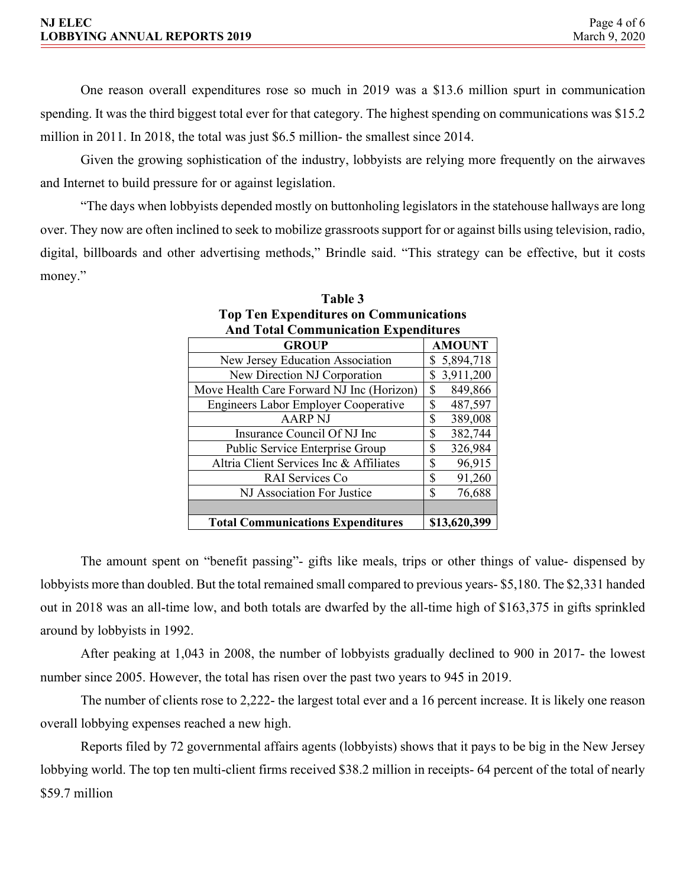| <b>NJ ELEC</b>                      | Page 4 of 6   |
|-------------------------------------|---------------|
| <b>LOBBYING ANNUAL REPORTS 2019</b> | March 9, 2020 |

One reason overall expenditures rose so much in 2019 was a \$13.6 million spurt in communication spending. It was the third biggest total ever for that category. The highest spending on communications was \$15.2 million in 2011. In 2018, the total was just \$6.5 million- the smallest since 2014.

Given the growing sophistication of the industry, lobbyists are relying more frequently on the airwaves and Internet to build pressure for or against legislation.

"The days when lobbyists depended mostly on buttonholing legislators in the statehouse hallways are long over. They now are often inclined to seek to mobilize grassroots support for or against bills using television, radio, digital, billboards and other advertising methods," Brindle said. "This strategy can be effective, but it costs money."

| And Total Communication Expenditures        |                 |  |  |  |
|---------------------------------------------|-----------------|--|--|--|
| <b>GROUP</b>                                | <b>AMOUNT</b>   |  |  |  |
| New Jersey Education Association            | 5,894,718<br>S  |  |  |  |
| New Direction NJ Corporation                | 3,911,200<br>\$ |  |  |  |
| Move Health Care Forward NJ Inc (Horizon)   | \$<br>849,866   |  |  |  |
| <b>Engineers Labor Employer Cooperative</b> | 487,597<br>\$   |  |  |  |
| <b>AARP NJ</b>                              | \$<br>389,008   |  |  |  |
| Insurance Council Of NJ Inc                 | 382,744<br>S    |  |  |  |
| Public Service Enterprise Group             | \$<br>326,984   |  |  |  |
| Altria Client Services Inc & Affiliates     | 96,915<br>S     |  |  |  |
| RAI Services Co                             | \$<br>91,260    |  |  |  |
| NJ Association For Justice                  | \$<br>76,688    |  |  |  |
|                                             |                 |  |  |  |
| <b>Total Communications Expenditures</b>    | \$13,620,399    |  |  |  |

| Table 3                                       |
|-----------------------------------------------|
| <b>Top Ten Expenditures on Communications</b> |
| <b>And Total Communication Expenditures</b>   |

The amount spent on "benefit passing"- gifts like meals, trips or other things of value- dispensed by lobbyists more than doubled. But the total remained small compared to previous years- \$5,180. The \$2,331 handed out in 2018 was an all-time low, and both totals are dwarfed by the all-time high of \$163,375 in gifts sprinkled around by lobbyists in 1992.

After peaking at 1,043 in 2008, the number of lobbyists gradually declined to 900 in 2017- the lowest number since 2005. However, the total has risen over the past two years to 945 in 2019.

The number of clients rose to 2,222- the largest total ever and a 16 percent increase. It is likely one reason overall lobbying expenses reached a new high.

Reports filed by 72 governmental affairs agents (lobbyists) shows that it pays to be big in the New Jersey lobbying world. The top ten multi-client firms received \$38.2 million in receipts- 64 percent of the total of nearly \$59.7 million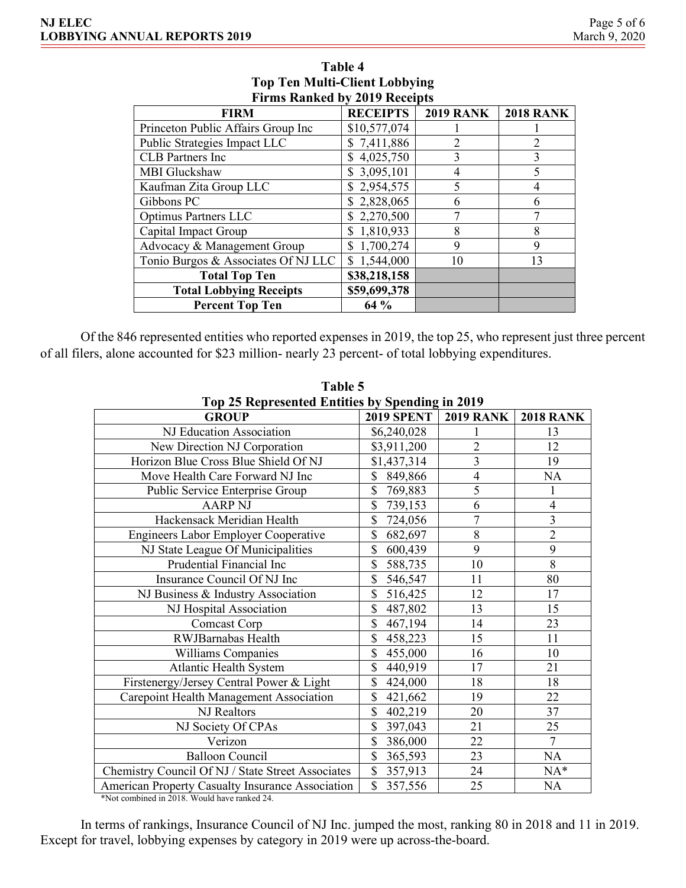| FILMS NATIKED DV 2017 NECEIDIS      |                 |                  |                  |  |  |
|-------------------------------------|-----------------|------------------|------------------|--|--|
| <b>FIRM</b>                         | <b>RECEIPTS</b> | <b>2019 RANK</b> | <b>2018 RANK</b> |  |  |
| Princeton Public Affairs Group Inc  | \$10,577,074    |                  |                  |  |  |
| Public Strategies Impact LLC        | \$7,411,886     | $\mathfrak{D}$   | $\overline{2}$   |  |  |
| <b>CLB</b> Partners Inc             | 4,025,750<br>S  | 3                | 3                |  |  |
| MBI Gluckshaw                       | 3,095,101       | 4                | 5                |  |  |
| Kaufman Zita Group LLC              | 2,954,575<br>\$ | 5                | 4                |  |  |
| Gibbons PC                          | 2,828,065       | 6                | 6                |  |  |
| <b>Optimus Partners LLC</b>         | 2,270,500<br>S. | 7                |                  |  |  |
| Capital Impact Group                | 1,810,933<br>\$ | 8                | 8                |  |  |
| Advocacy & Management Group         | 1,700,274<br>\$ | 9                | 9                |  |  |
| Tonio Burgos & Associates Of NJ LLC | 1,544,000<br>\$ | 10               | 13               |  |  |
| <b>Total Top Ten</b>                | \$38,218,158    |                  |                  |  |  |
| <b>Total Lobbying Receipts</b>      | \$59,699,378    |                  |                  |  |  |
| <b>Percent Top Ten</b>              | 64 %            |                  |                  |  |  |

## **Table 4 Top Ten Multi-Client Lobbying Firms Ranked by 2019 Receipts**

Of the 846 represented entities who reported expenses in 2019, the top 25, who represent just three percent of all filers, alone accounted for \$23 million- nearly 23 percent- of total lobbying expenditures.

| Top 25 Represented Entities by Spending in 2019   |                   |                  |                         |  |  |
|---------------------------------------------------|-------------------|------------------|-------------------------|--|--|
| <b>GROUP</b>                                      | <b>2019 SPENT</b> | <b>2019 RANK</b> | <b>2018 RANK</b>        |  |  |
| NJ Education Association                          | \$6,240,028       | 1                | 13                      |  |  |
| New Direction NJ Corporation                      | \$3,911,200       | $\overline{2}$   | 12                      |  |  |
| Horizon Blue Cross Blue Shield Of NJ              | \$1,437,314       | 3                | 19                      |  |  |
| Move Health Care Forward NJ Inc                   | \$<br>849,866     | $\overline{4}$   | NA                      |  |  |
| Public Service Enterprise Group                   | \$<br>769,883     | 5                | 1                       |  |  |
| <b>AARP NJ</b>                                    | \$<br>739,153     | 6                | $\overline{4}$          |  |  |
| Hackensack Meridian Health                        | \$<br>724,056     | 7                | $\overline{\mathbf{3}}$ |  |  |
| <b>Engineers Labor Employer Cooperative</b>       | \$<br>682,697     | 8                | $\overline{2}$          |  |  |
| NJ State League Of Municipalities                 | \$<br>600,439     | 9                | 9                       |  |  |
| Prudential Financial Inc                          | \$<br>588,735     | 10               | 8                       |  |  |
| Insurance Council Of NJ Inc                       | \$<br>546,547     | 11               | 80                      |  |  |
| NJ Business & Industry Association                | \$<br>516,425     | 12               | 17                      |  |  |
| NJ Hospital Association                           | \$<br>487,802     | 13               | 15                      |  |  |
| Comcast Corp                                      | \$<br>467,194     | 14               | 23                      |  |  |
| RWJBarnabas Health                                | \$<br>458,223     | 15               | 11                      |  |  |
| Williams Companies                                | \$<br>455,000     | 16               | 10                      |  |  |
| <b>Atlantic Health System</b>                     | \$<br>440,919     | 17               | 21                      |  |  |
| Firstenergy/Jersey Central Power & Light          | \$<br>424,000     | 18               | 18                      |  |  |
| Carepoint Health Management Association           | \$<br>421,662     | 19               | 22                      |  |  |
| NJ Realtors                                       | \$<br>402,219     | 20               | 37                      |  |  |
| NJ Society Of CPAs                                | \$<br>397,043     | 21               | 25                      |  |  |
| Verizon                                           | \$<br>386,000     | 22               | $\overline{7}$          |  |  |
| <b>Balloon Council</b>                            | \$<br>365,593     | 23               | <b>NA</b>               |  |  |
| Chemistry Council Of NJ / State Street Associates | \$<br>357,913     | 24               | $NA*$                   |  |  |
| American Property Casualty Insurance Association  | \$<br>357,556     | 25               | <b>NA</b>               |  |  |

**Table 5**

\*Not combined in 2018. Would have ranked 24.

In terms of rankings, Insurance Council of NJ Inc. jumped the most, ranking 80 in 2018 and 11 in 2019. Except for travel, lobbying expenses by category in 2019 were up across-the-board.